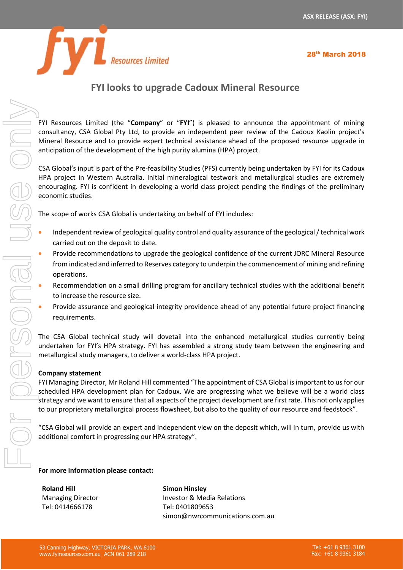

28th March 2018

## **FYI looks to upgrade Cadoux Mineral Resource**

FYI Resources Limited (the "**Company**" or "**FYI**") is pleased to announce the appointment of mining consultancy, CSA Global Pty Ltd, to provide an independent peer review of the Cadoux Kaolin project's Mineral Resource and to provide expert technical assistance ahead of the proposed resource upgrade in anticipation of the development of the high purity alumina (HPA) project.

CSA Global's input is part of the Pre-feasibility Studies (PFS) currently being undertaken by FYI for its Cadoux HPA project in Western Australia. Initial mineralogical testwork and metallurgical studies are extremely encouraging. FYI is confident in developing a world class project pending the findings of the preliminary economic studies.

The scope of works CSA Global is undertaking on behalf of FYI includes:

- Independent review of geological quality control and quality assurance of the geological / technical work carried out on the deposit to date.
- Provide recommendations to upgrade the geological confidence of the current JORC Mineral Resource from indicated and inferred to Reserves category to underpin the commencement of mining and refining operations.
- Recommendation on a small drilling program for ancillary technical studies with the additional benefit to increase the resource size.
- Provide assurance and geological integrity providence ahead of any potential future project financing requirements.

The CSA Global technical study will dovetail into the enhanced metallurgical studies currently being undertaken for FYI's HPA strategy. FYI has assembled a strong study team between the engineering and metallurgical study managers, to deliver a world-class HPA project.

## **Company statement**

FYI Managing Director, Mr Roland Hill commented "The appointment of CSA Global is important to us for our scheduled HPA development plan for Cadoux. We are progressing what we believe will be a world class strategy and we want to ensure that all aspects of the project development are first rate. This not only applies to our proprietary metallurgical process flowsheet, but also to the quality of our resource and feedstock".

"CSA Global will provide an expert and independent view on the deposit which, will in turn, provide us with additional comfort in progressing our HPA strategy".

## **For more information please contact:**

**Roland Hill** Managing Director Tel: 0414666178

**Simon Hinsley** Investor & Media Relations Tel: 0401809653 simon@nwrcommunications.com.au